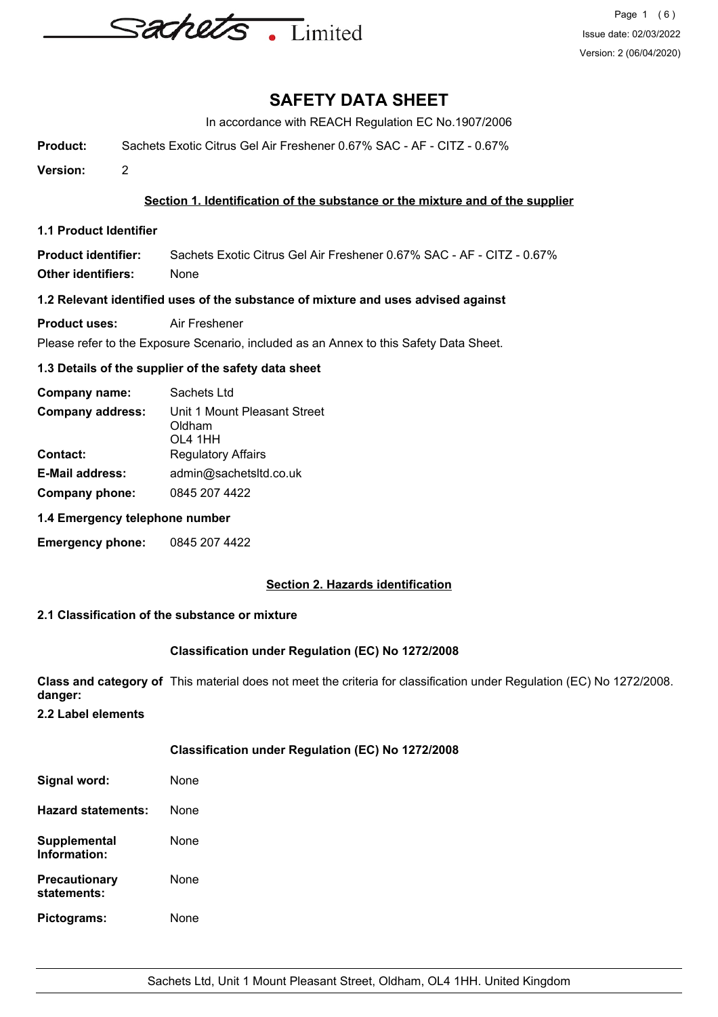

In accordance with REACH Regulation EC No.1907/2006

**Product:** Sachets Exotic Citrus Gel Air Freshener 0.67% SAC - AF - CITZ - 0.67%

**Version:** 2

### **Section 1. Identification of the substance or the mixture and of the supplier**

**1.1 Product Identifier**

**Product identifier:** Sachets Exotic Citrus Gel Air Freshener 0.67% SAC - AF - CITZ - 0.67% **Other identifiers:** None

### **1.2 Relevant identified uses of the substance of mixture and uses advised against**

**Product uses:** Air Freshener

Please refer to the Exposure Scenario, included as an Annex to this Safety Data Sheet.

### **1.3 Details of the supplier of the safety data sheet**

| Company name:           | Sachets Ltd                                       |  |  |
|-------------------------|---------------------------------------------------|--|--|
| <b>Company address:</b> | Unit 1 Mount Pleasant Street<br>Oldham<br>OL4 1HH |  |  |
| <b>Contact:</b>         | <b>Regulatory Affairs</b>                         |  |  |
| <b>E-Mail address:</b>  | admin@sachetsItd.co.uk                            |  |  |
| Company phone:          | 0845 207 4422                                     |  |  |

### **1.4 Emergency telephone number**

**Emergency phone:** 0845 207 4422

### **Section 2. Hazards identification**

### **2.1 Classification of the substance or mixture**

### **Classification under Regulation (EC) No 1272/2008**

**Class and category of** This material does not meet the criteria for classification under Regulation (EC) No 1272/2008. **danger:**

**2.2 Label elements**

## **Classification under Regulation (EC) No 1272/2008**

| Signal word:                        | None |
|-------------------------------------|------|
| Hazard statements:                  | None |
| Supplemental<br>Information:        | None |
| <b>Precautionary</b><br>statements: | None |
| Pictograms:                         | None |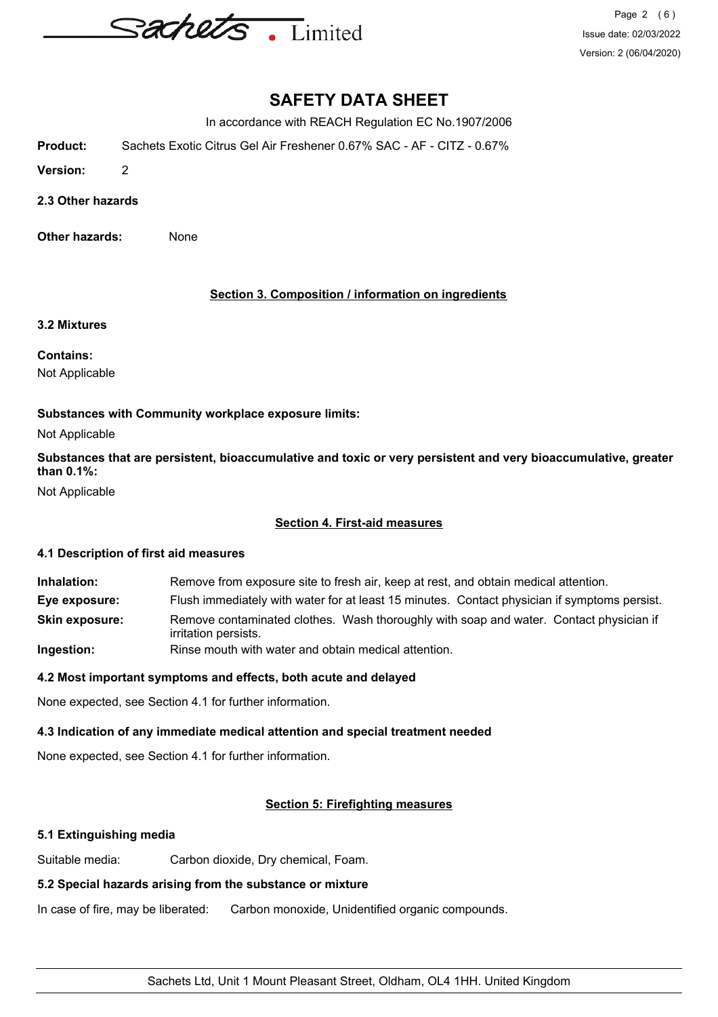

In accordance with REACH Regulation EC No.1907/2006

**Product:** Sachets Exotic Citrus Gel Air Freshener 0.67% SAC - AF - CITZ - 0.67%

**Version:** 2

**2.3 Other hazards**

**Other hazards:** None

**Section 3. Composition / information on ingredients**

### **3.2 Mixtures**

**Contains:**

Not Applicable

### **Substances with Community workplace exposure limits:**

Not Applicable

**Substances that are persistent, bioaccumulative and toxic or very persistent and very bioaccumulative, greater than 0.1%:**

Not Applicable

### **Section 4. First-aid measures**

### **4.1 Description of first aid measures**

**Inhalation:** Remove from exposure site to fresh air, keep at rest, and obtain medical attention. **Eye exposure:** Flush immediately with water for at least 15 minutes. Contact physician if symptoms persist. **Skin exposure:** Remove contaminated clothes. Wash thoroughly with soap and water. Contact physician if irritation persists. **Ingestion:** Rinse mouth with water and obtain medical attention.

### **4.2 Most important symptoms and effects, both acute and delayed**

None expected, see Section 4.1 for further information.

### **4.3 Indication of any immediate medical attention and special treatment needed**

None expected, see Section 4.1 for further information.

### **Section 5: Firefighting measures**

### **5.1 Extinguishing media**

Suitable media: Carbon dioxide, Dry chemical, Foam.

### **5.2 Special hazards arising from the substance or mixture**

In case of fire, may be liberated: Carbon monoxide, Unidentified organic compounds.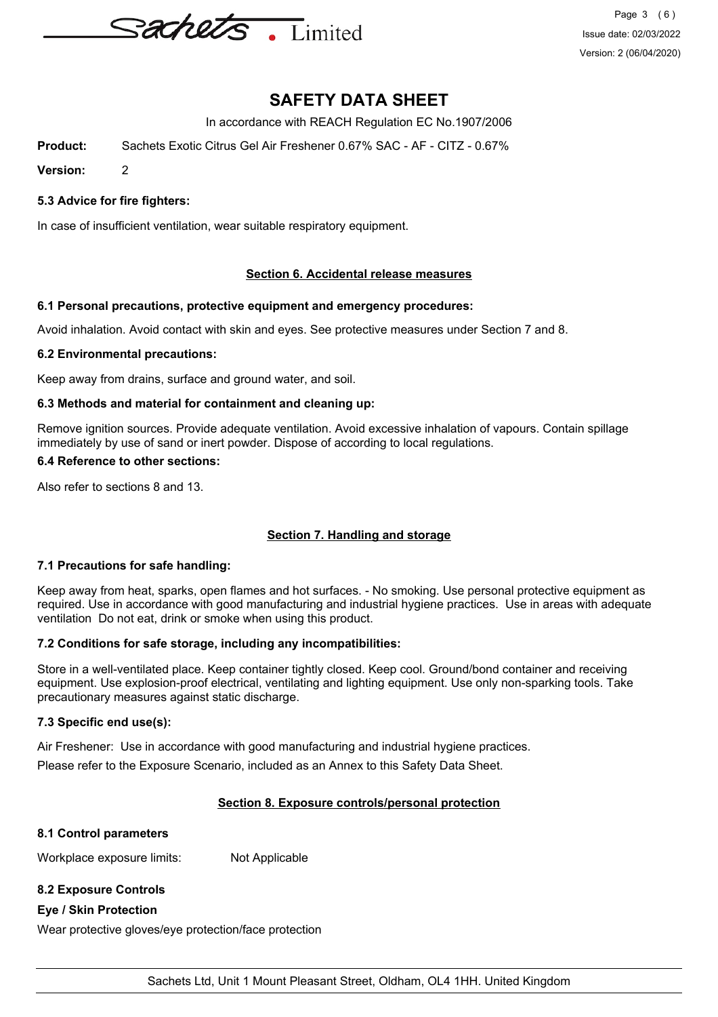

In accordance with REACH Regulation EC No.1907/2006

**Product:** Sachets Exotic Citrus Gel Air Freshener 0.67% SAC - AF - CITZ - 0.67%

**Version:** 2

### **5.3 Advice for fire fighters:**

In case of insufficient ventilation, wear suitable respiratory equipment.

### **Section 6. Accidental release measures**

### **6.1 Personal precautions, protective equipment and emergency procedures:**

Avoid inhalation. Avoid contact with skin and eyes. See protective measures under Section 7 and 8.

### **6.2 Environmental precautions:**

Keep away from drains, surface and ground water, and soil.

### **6.3 Methods and material for containment and cleaning up:**

Remove ignition sources. Provide adequate ventilation. Avoid excessive inhalation of vapours. Contain spillage immediately by use of sand or inert powder. Dispose of according to local regulations.

### **6.4 Reference to other sections:**

Also refer to sections 8 and 13.

### **Section 7. Handling and storage**

### **7.1 Precautions for safe handling:**

Keep away from heat, sparks, open flames and hot surfaces. - No smoking. Use personal protective equipment as required. Use in accordance with good manufacturing and industrial hygiene practices. Use in areas with adequate ventilation Do not eat, drink or smoke when using this product.

### **7.2 Conditions for safe storage, including any incompatibilities:**

Store in a well-ventilated place. Keep container tightly closed. Keep cool. Ground/bond container and receiving equipment. Use explosion-proof electrical, ventilating and lighting equipment. Use only non-sparking tools. Take precautionary measures against static discharge.

### **7.3 Specific end use(s):**

Air Freshener: Use in accordance with good manufacturing and industrial hygiene practices.

Please refer to the Exposure Scenario, included as an Annex to this Safety Data Sheet.

## **Section 8. Exposure controls/personal protection**

## **8.1 Control parameters**

Workplace exposure limits: Not Applicable

## **8.2 Exposure Controls**

## **Eye / Skin Protection**

Wear protective gloves/eye protection/face protection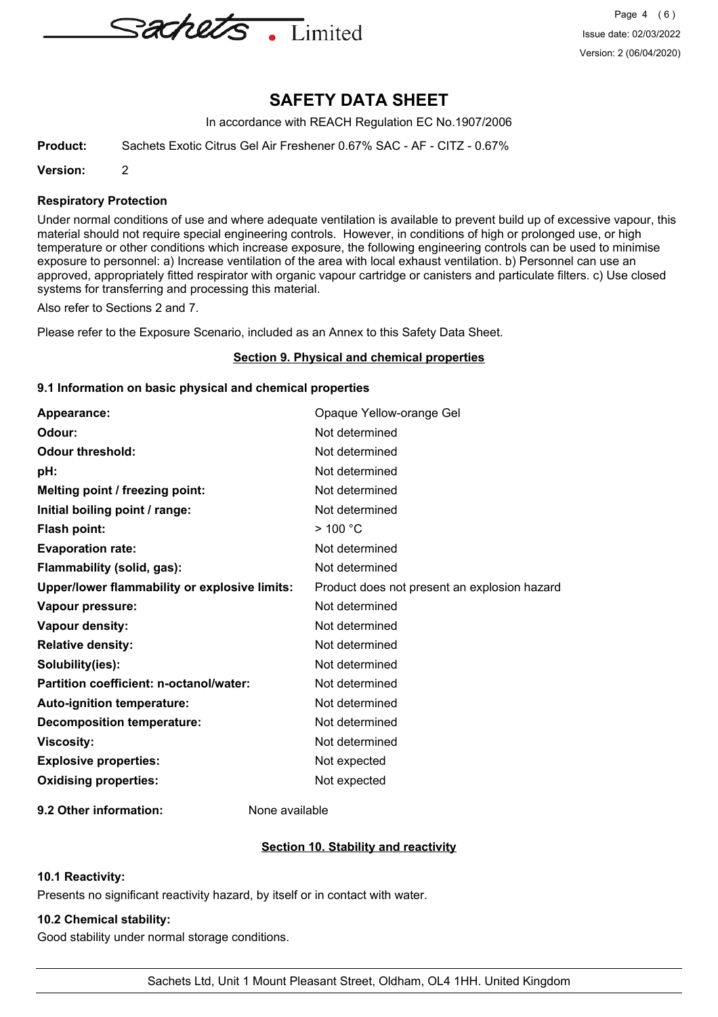

In accordance with REACH Regulation EC No.1907/2006

**Product:** Sachets Exotic Citrus Gel Air Freshener 0.67% SAC - AF - CITZ - 0.67%

**Version:** 2

### **Respiratory Protection**

Under normal conditions of use and where adequate ventilation is available to prevent build up of excessive vapour, this material should not require special engineering controls. However, in conditions of high or prolonged use, or high temperature or other conditions which increase exposure, the following engineering controls can be used to minimise exposure to personnel: a) Increase ventilation of the area with local exhaust ventilation. b) Personnel can use an approved, appropriately fitted respirator with organic vapour cartridge or canisters and particulate filters. c) Use closed systems for transferring and processing this material.

Also refer to Sections 2 and 7.

Please refer to the Exposure Scenario, included as an Annex to this Safety Data Sheet.

### **Section 9. Physical and chemical properties**

### **9.1 Information on basic physical and chemical properties**

| Appearance:                                   | Opaque Yellow-orange Gel                     |
|-----------------------------------------------|----------------------------------------------|
| Odour:                                        | Not determined                               |
| <b>Odour threshold:</b>                       | Not determined                               |
| pH:                                           | Not determined                               |
| Melting point / freezing point:               | Not determined                               |
| Initial boiling point / range:                | Not determined                               |
| <b>Flash point:</b>                           | $>$ 100 $^{\circ}$ C                         |
| <b>Evaporation rate:</b>                      | Not determined                               |
| Flammability (solid, gas):                    | Not determined                               |
| Upper/lower flammability or explosive limits: | Product does not present an explosion hazard |
| Vapour pressure:                              | Not determined                               |
| Vapour density:                               | Not determined                               |
| <b>Relative density:</b>                      | Not determined                               |
| Solubility(ies):                              | Not determined                               |
| Partition coefficient: n-octanol/water:       | Not determined                               |
| Auto-ignition temperature:                    | Not determined                               |
| <b>Decomposition temperature:</b>             | Not determined                               |
| <b>Viscosity:</b>                             | Not determined                               |
| <b>Explosive properties:</b>                  | Not expected                                 |
| <b>Oxidising properties:</b>                  | Not expected                                 |
|                                               |                                              |

**9.2 Other information:** None available

### **Section 10. Stability and reactivity**

### **10.1 Reactivity:**

Presents no significant reactivity hazard, by itself or in contact with water.

### **10.2 Chemical stability:**

Good stability under normal storage conditions.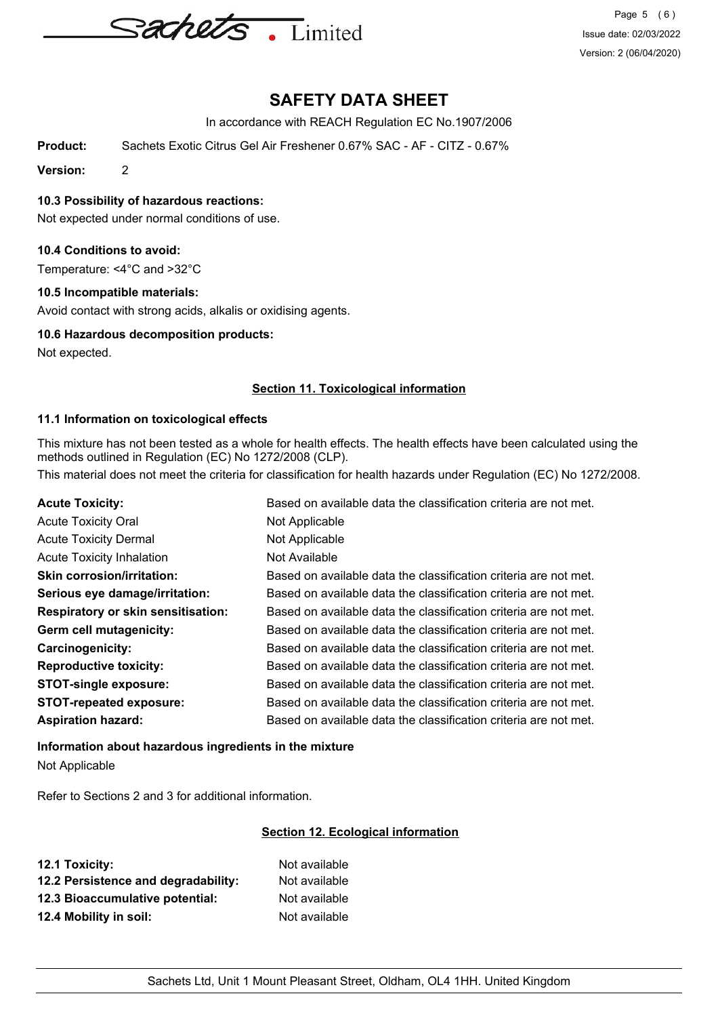

In accordance with REACH Regulation EC No.1907/2006

**Product:** Sachets Exotic Citrus Gel Air Freshener 0.67% SAC - AF - CITZ - 0.67%

**Version:** 2

**10.3 Possibility of hazardous reactions:**

Not expected under normal conditions of use.

### **10.4 Conditions to avoid:**

Temperature: <4°C and >32°C

### **10.5 Incompatible materials:**

Avoid contact with strong acids, alkalis or oxidising agents.

### **10.6 Hazardous decomposition products:**

Not expected.

### **Section 11. Toxicological information**

### **11.1 Information on toxicological effects**

This mixture has not been tested as a whole for health effects. The health effects have been calculated using the methods outlined in Regulation (EC) No 1272/2008 (CLP).

This material does not meet the criteria for classification for health hazards under Regulation (EC) No 1272/2008.

| <b>Acute Toxicity:</b>                    | Based on available data the classification criteria are not met. |
|-------------------------------------------|------------------------------------------------------------------|
| <b>Acute Toxicity Oral</b>                | Not Applicable                                                   |
| <b>Acute Toxicity Dermal</b>              | Not Applicable                                                   |
| <b>Acute Toxicity Inhalation</b>          | Not Available                                                    |
| <b>Skin corrosion/irritation:</b>         | Based on available data the classification criteria are not met. |
| Serious eye damage/irritation:            | Based on available data the classification criteria are not met. |
| <b>Respiratory or skin sensitisation:</b> | Based on available data the classification criteria are not met. |
| Germ cell mutagenicity:                   | Based on available data the classification criteria are not met. |
| Carcinogenicity:                          | Based on available data the classification criteria are not met. |
| <b>Reproductive toxicity:</b>             | Based on available data the classification criteria are not met. |
| <b>STOT-single exposure:</b>              | Based on available data the classification criteria are not met. |
| <b>STOT-repeated exposure:</b>            | Based on available data the classification criteria are not met. |
| <b>Aspiration hazard:</b>                 | Based on available data the classification criteria are not met. |

## **Information about hazardous ingredients in the mixture** Not Applicable

Refer to Sections 2 and 3 for additional information.

## **Section 12. Ecological information**

| 12.1 Toxicity:                      | Not available |
|-------------------------------------|---------------|
| 12.2 Persistence and degradability: | Not available |
| 12.3 Bioaccumulative potential:     | Not available |
| 12.4 Mobility in soil:              | Not available |